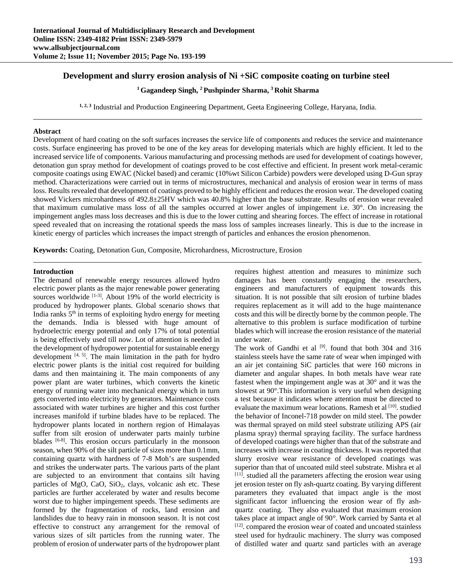# **Development and slurry erosion analysis of Ni +SiC composite coating on turbine steel**

**1 Gagandeep Singh, 2 Pushpinder Sharma, 3 Rohit Sharma** 

**1, 2, 3** Industrial and Production Engineering Department, Geeta Engineering College, Haryana, India.

# **Abstract**

Development of hard coating on the soft surfaces increases the service life of components and reduces the service and maintenance costs. Surface engineering has proved to be one of the key areas for developing materials which are highly efficient. It led to the increased service life of components. Various manufacturing and processing methods are used for development of coatings however, detonation gun spray method for development of coatings proved to be cost effective and efficient. In present work metal-ceramic composite coatings using EWAC (Nickel based) and ceramic (10%wt Silicon Carbide) powders were developed using D-Gun spray method. Characterizations were carried out in terms of microstructures, mechanical and analysis of erosion wear in terms of mass loss. Results revealed that development of coatings proved to be highly efficient and reduces the erosion wear. The developed coating showed Vickers microhardness of 492.8±25HV which was 40.8% higher than the base substrate. Results of erosion wear revealed that maximum cumulative mass loss of all the samples occurred at lower angles of impingement i.e. 30°. On increasing the impingement angles mass loss decreases and this is due to the lower cutting and shearing forces. The effect of increase in rotational speed revealed that on increasing the rotational speeds the mass loss of samples increases linearly. This is due to the increase in kinetic energy of particles which increases the impact strength of particles and enhances the erosion phenomenon.

**Keywords:** Coating, Detonation Gun, Composite, Microhardness, Microstructure, Erosion

## **Introduction**

The demand of renewable energy resources allowed hydro electric power plants as the major renewable power generating sources worldwide [1-3]. About 19% of the world electricity is produced by hydropower plants. Global scenario shows that India ranks  $5<sup>th</sup>$  in terms of exploiting hydro energy for meeting the demands. India is blessed with huge amount of hydroelectric energy potential and only 17% of total potential is being effectively used till now. Lot of attention is needed in the development of hydropower potential for sustainable energy development  $[4, 5]$ . The main limitation in the path for hydro electric power plants is the initial cost required for building dams and then maintaining it. The main components of any power plant are water turbines, which converts the kinetic energy of running water into mechanical energy which in turn gets converted into electricity by generators. Maintenance costs associated with water turbines are higher and this cost further increases manifold if turbine blades have to be replaced. The hydropower plants located in northern region of Himalayas suffer from silt erosion of underwater parts mainly turbine blades [6-8]. This erosion occurs particularly in the monsoon season, when 90% of the silt particle of sizes more than 0.1mm, containing quartz with hardness of 7-8 Moh's are suspended and strikes the underwater parts. The various parts of the plant are subjected to an environment that contains silt having particles of MgO, CaO,  $SiO<sub>2</sub>$ , clays, volcanic ash etc. These particles are further accelerated by water and results become worst due to higher impingement speeds. These sediments are formed by the fragmentation of rocks, land erosion and landslides due to heavy rain in monsoon season. It is not cost effective to construct any arrangement for the removal of various sizes of silt particles from the running water. The problem of erosion of underwater parts of the hydropower plant

requires highest attention and measures to minimize such damages has been constantly engaging the researchers, engineers and manufacturers of equipment towards this situation. It is not possible that silt erosion of turbine blades requires replacement as it will add to the huge maintenance costs and this will be directly borne by the common people. The alternative to this problem is surface modification of turbine blades which will increase the erosion resistance of the material under water.

The work of Gandhi et al <sup>[9]</sup>. found that both 304 and 316 stainless steels have the same rate of wear when impinged with an air jet containing SiC particles that were 160 microns in diameter and angular shapes. In both metals have wear rate fastest when the impingement angle was at 30° and it was the slowest at 90°.This information is very useful when designing a test because it indicates where attention must be directed to evaluate the maximum wear locations. Ramesh et al [10]. studied the behavior of Inconel-718 powder on mild steel. The powder was thermal sprayed on mild steel substrate utilizing APS (air plasma spray) thermal spraying facility. The surface hardness of developed coatings were higher than that of the substrate and increases with increase in coating thickness. It was reported that slurry erosive wear resistance of developed coatings was superior than that of uncoated mild steel substrate. Mishra et al  $[11]$ . studied all the parameters affecting the erosion wear using jet erosion tester on fly ash-quartz coating. By varying different parameters they evaluated that impact angle is the most significant factor influencing the erosion wear of fly ashquartz coating. They also evaluated that maximum erosion takes place at impact angle of 90*°*. Work carried by Santa et al [12]. compared the erosion wear of coated and uncoated stainless steel used for hydraulic machinery. The slurry was composed of distilled water and quartz sand particles with an average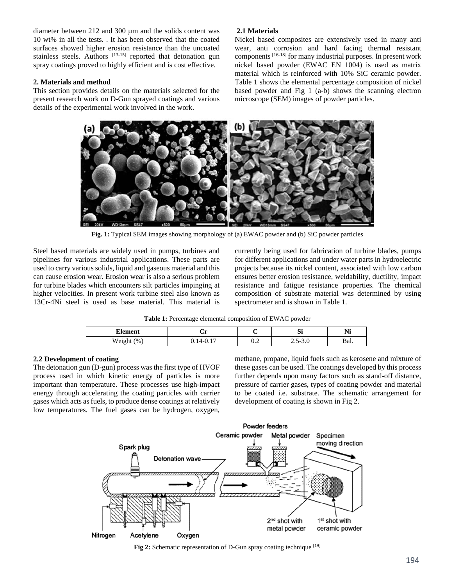diameter between 212 and 300 µm and the solids content was 10 wt% in all the tests. . It has been observed that the coated surfaces showed higher erosion resistance than the uncoated stainless steels. Authors [13-15] reported that detonation gun spray coatings proved to highly efficient and is cost effective.

## **2. Materials and method**

This section provides details on the materials selected for the present research work on D-Gun sprayed coatings and various details of the experimental work involved in the work.

# **2.1 Materials**

Nickel based composites are extensively used in many anti wear, anti corrosion and hard facing thermal resistant components [16-18] for many industrial purposes. In present work nickel based powder (EWAC EN 1004) is used as matrix material which is reinforced with 10% SiC ceramic powder. Table 1 shows the elemental percentage composition of nickel based powder and Fig 1 (a-b) shows the scanning electron microscope (SEM) images of powder particles.



**Fig. 1:** Typical SEM images showing morphology of (a) EWAC powder and (b) SiC powder particles

Steel based materials are widely used in pumps, turbines and pipelines for various industrial applications. These parts are used to carry various solids, liquid and gaseous material and this can cause erosion wear. Erosion wear is also a serious problem for turbine blades which encounters silt particles impinging at higher velocities. In present work turbine steel also known as 13Cr-4Ni steel is used as base material. This material is currently being used for fabrication of turbine blades, pumps for different applications and under water parts in hydroelectric projects because its nickel content, associated with low carbon ensures better erosion resistance, weldability, ductility, impact resistance and fatigue resistance properties. The chemical composition of substrate material was determined by using spectrometer and is shown in Table 1.

**Table 1:** Percentage elemental composition of EWAC powder

| <b>Element</b>                                       | .<br>ິ            |                                 | $\sim$<br>D.     | $\blacksquare$<br>1 V 1 |
|------------------------------------------------------|-------------------|---------------------------------|------------------|-------------------------|
| <b>TTT</b><br>$\frac{9}{6}$<br>Weioh<br>$\alpha$ gut | --<br>$\Delta$ -0 | $\overline{\phantom{a}}$<br>∪.∠ | $-5.0$<br>$\sim$ | Bal.                    |

# **2.2 Development of coating**

The detonation gun (D-gun) process was the first type of HVOF process used in which kinetic energy of particles is more important than temperature. These processes use high-impact energy through accelerating the coating particles with carrier gases which acts as fuels, to produce dense coatings at relatively low temperatures. The fuel gases can be hydrogen, oxygen,

methane, propane, liquid fuels such as kerosene and mixture of these gases can be used. The coatings developed by this process further depends upon many factors such as stand-off distance, pressure of carrier gases, types of coating powder and material to be coated i.e. substrate. The schematic arrangement for development of coating is shown in Fig 2.



**Fig 2:** Schematic representation of D-Gun spray coating technique [19]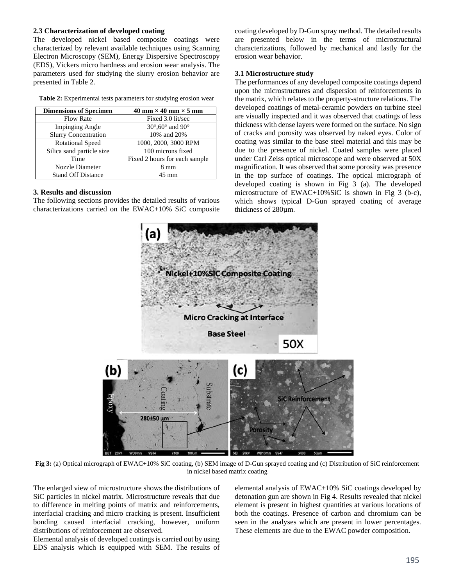## **2.3 Characterization of developed coating**

The developed nickel based composite coatings were characterized by relevant available techniques using Scanning Electron Microscopy (SEM), Energy Dispersive Spectroscopy (EDS), Vickers micro hardness and erosion wear analysis. The parameters used for studying the slurry erosion behavior are presented in Table 2.

|  |  | <b>Table 2:</b> Experimental tests parameters for studying erosion wear |  |  |
|--|--|-------------------------------------------------------------------------|--|--|
|  |  |                                                                         |  |  |

| <b>Dimensions of Specimen</b> | 40 mm $\times$ 40 mm $\times$ 5 mm            |
|-------------------------------|-----------------------------------------------|
| <b>Flow Rate</b>              | Fixed 3.0 lit/sec                             |
| <b>Impinging Angle</b>        | $30^{\circ}$ ,60 $^{\circ}$ and 90 $^{\circ}$ |
| <b>Slurry Concentration</b>   | 10% and 20%                                   |
| <b>Rotational Speed</b>       | 1000, 2000, 3000 RPM                          |
| Silica sand particle size     | $\overline{100}$ microns fixed                |
| Time                          | Fixed 2 hours for each sample                 |
| Nozzle Diameter               | $8 \text{ mm}$                                |
| <b>Stand Off Distance</b>     | 45 mm                                         |

#### **3. Results and discussion**

The following sections provides the detailed results of various characterizations carried on the EWAC+10% SiC composite

coating developed by D-Gun spray method. The detailed results are presented below in the terms of microstructural characterizations, followed by mechanical and lastly for the erosion wear behavior.

#### **3.1 Microstructure study**

The performances of any developed composite coatings depend upon the microstructures and dispersion of reinforcements in the matrix, which relates to the property-structure relations. The developed coatings of metal-ceramic powders on turbine steel are visually inspected and it was observed that coatings of less thickness with dense layers were formed on the surface. No sign of cracks and porosity was observed by naked eyes. Color of coating was similar to the base steel material and this may be due to the presence of nickel. Coated samples were placed under Carl Zeiss optical microscope and were observed at 50X magnification. It was observed that some porosity was presence in the top surface of coatings. The optical micrograph of developed coating is shown in Fig 3 (a). The developed microstructure of EWAC+10%SiC is shown in Fig 3 (b-c), which shows typical D-Gun sprayed coating of average thickness of 280µm.



**Fig 3:** (a) Optical micrograph of EWAC+10% SiC coating, (b) SEM image of D-Gun sprayed coating and (c) Distribution of SiC reinforcement in nickel based matrix coating

The enlarged view of microstructure shows the distributions of SiC particles in nickel matrix. Microstructure reveals that due to difference in melting points of matrix and reinforcements, interfacial cracking and micro cracking is present. Insufficient bonding caused interfacial cracking, however, uniform distributions of reinforcement are observed.

Elemental analysis of developed coatings is carried out by using EDS analysis which is equipped with SEM. The results of elemental analysis of EWAC+10% SiC coatings developed by detonation gun are shown in Fig 4. Results revealed that nickel element is present in highest quantities at various locations of both the coatings. Presence of carbon and chromium can be seen in the analyses which are present in lower percentages. These elements are due to the EWAC powder composition.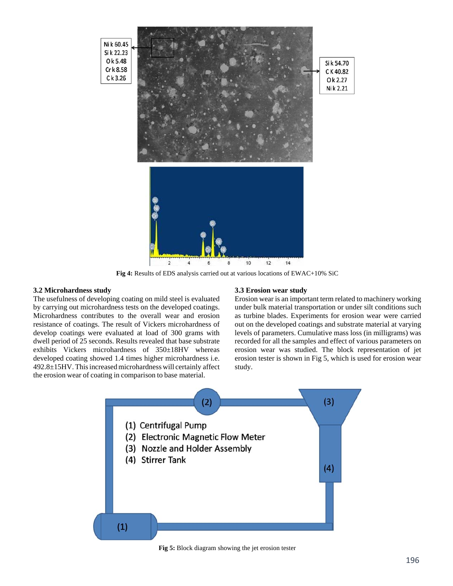

**Fig 4:** Results of EDS analysis carried out at various locations of EWAC+10% SiC

#### **3.2 Microhardness study**

The usefulness of developing coating on mild steel is evaluated by carrying out microhardness tests on the developed coatings. Microhardness contributes to the overall wear and erosion resistance of coatings. The result of Vickers microhardness of develop coatings were evaluated at load of 300 grams with dwell period of 25 seconds. Results revealed that base substrate exhibits Vickers microhardness of 350±18HV whereas developed coating showed 1.4 times higher microhardness i.e. 492.8±15HV. Thisincreasedmicrohardness will certainly affect the erosion wear of coating in comparison to base material.

#### **3.3 Erosion wear study**

Erosion wear is an important term related to machinery working under bulk material transportation or under silt conditions such as turbine blades. Experiments for erosion wear were carried out on the developed coatings and substrate material at varying levels of parameters. Cumulative mass loss (in milligrams) was recorded for all the samples and effect of various parameters on erosion wear was studied. The block representation of jet erosion tester is shown in Fig 5, which is used for erosion wear study.



**Fig 5:** Block diagram showing the jet erosion tester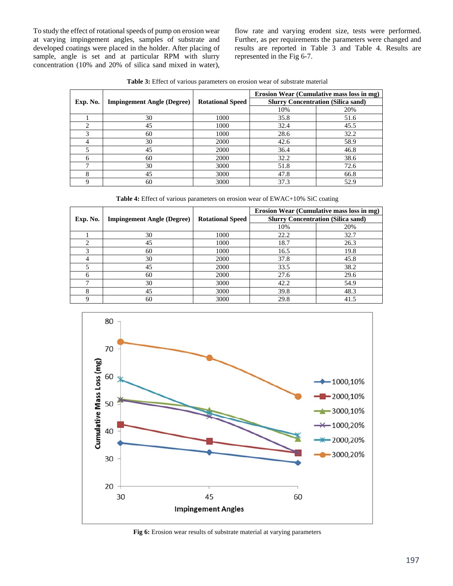To study the effect of rotational speeds of pump on erosion wear at varying impingement angles, samples of substrate and developed coatings were placed in the holder. After placing of sample, angle is set and at particular RPM with slurry concentration (10% and 20% of silica sand mixed in water),

flow rate and varying erodent size, tests were performed. Further, as per requirements the parameters were changed and results are reported in Table 3 and Table 4. Results are represented in the Fig 6-7.

**Table 3:** Effect of various parameters on erosion wear of substrate material

|          |                                   |                         | Erosion Wear (Cumulative mass loss in mg) |      |  |
|----------|-----------------------------------|-------------------------|-------------------------------------------|------|--|
| Exp. No. | <b>Impingement Angle (Degree)</b> | <b>Rotational Speed</b> | <b>Slurry Concentration (Silica sand)</b> |      |  |
|          |                                   |                         | 10%                                       | 20%  |  |
|          | 30                                | 1000                    | 35.8                                      | 51.6 |  |
| ◠        | 45                                | 1000                    | 32.4                                      | 45.5 |  |
|          | 60                                | 1000                    | 28.6                                      | 32.2 |  |
|          | 30                                | 2000                    | 42.6                                      | 58.9 |  |
|          | 45                                | 2000                    | 36.4                                      | 46.8 |  |
| 6        | 60                                | 2000                    | 32.2                                      | 38.6 |  |
|          | 30                                | 3000                    | 51.8                                      | 72.6 |  |
| 8        | 45                                | 3000                    | 47.8                                      | 66.8 |  |
|          | 60                                | 3000                    | 37.3                                      | 52.9 |  |

**Table 4:** Effect of various parameters on erosion wear of EWAC+10% SiC coating

|          |                                   |                         | Erosion Wear (Cumulative mass loss in mg) |      |  |
|----------|-----------------------------------|-------------------------|-------------------------------------------|------|--|
| Exp. No. | <b>Impingement Angle (Degree)</b> | <b>Rotational Speed</b> | <b>Slurry Concentration (Silica sand)</b> |      |  |
|          |                                   |                         | 10%                                       | 20%  |  |
|          | 30                                | 1000                    | 22.2                                      | 32.7 |  |
|          | 45                                | 1000                    | 18.7                                      | 26.3 |  |
|          | 60                                | 1000                    | 16.5                                      | 19.8 |  |
|          | 30                                | 2000                    | 37.8                                      | 45.8 |  |
|          | 45                                | 2000                    | 33.5                                      | 38.2 |  |
| 6        | 60                                | 2000                    | 27.6                                      | 29.6 |  |
|          | 30                                | 3000                    | 42.2                                      | 54.9 |  |
| 8        | 45                                | 3000                    | 39.8                                      | 48.3 |  |
|          | 60                                | 3000                    | 29.8                                      | 41.5 |  |



**Fig 6:** Erosion wear results of substrate material at varying parameters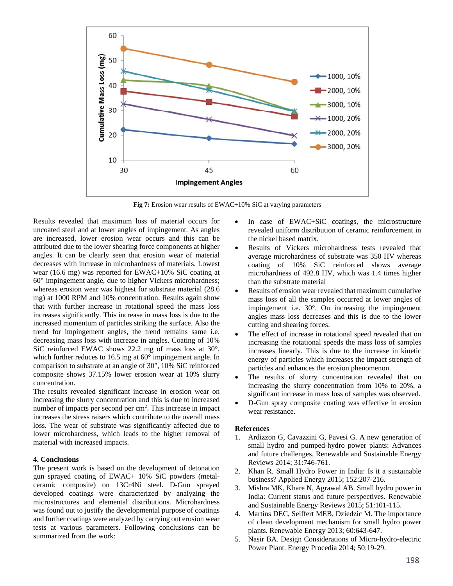

**Fig 7:** Erosion wear results of EWAC+10% SiC at varying parameters

Results revealed that maximum loss of material occurs for uncoated steel and at lower angles of impingement. As angles are increased, lower erosion wear occurs and this can be attributed due to the lower shearing force components at higher angles. It can be clearly seen that erosion wear of material decreases with increase in microhardness of materials. Lowest wear (16.6 mg) was reported for EWAC+10% SiC coating at 60° impingement angle, due to higher Vickers microhardness; whereas erosion wear was highest for substrate material (28.6 mg) at 1000 RPM and 10% concentration. Results again show that with further increase in rotational speed the mass loss increases significantly. This increase in mass loss is due to the increased momentum of particles striking the surface. Also the trend for impingement angles, the trend remains same i.e. decreasing mass loss with increase in angles. Coating of 10% SiC reinforced EWAC shows 22.2 mg of mass loss at 30°, which further reduces to 16.5 mg at 60° impingement angle. In comparison to substrate at an angle of 30°, 10% SiC reinforced composite shows 37.15% lower erosion wear at 10% slurry concentration.

The results revealed significant increase in erosion wear on increasing the slurry concentration and this is due to increased number of impacts per second per cm<sup>2</sup>. This increase in impact increases the stress raisers which contribute to the overall mass loss. The wear of substrate was significantly affected due to lower microhardness, which leads to the higher removal of material with increased impacts.

# **4. Conclusions**

The present work is based on the development of detonation gun sprayed coating of EWAC+ 10% SiC powders (metalceramic composite) on 13Cr4Ni steel. D-Gun sprayed developed coatings were characterized by analyzing the microstructures and elemental distributions. Microhardness was found out to justify the developmental purpose of coatings and further coatings were analyzed by carrying out erosion wear tests at various parameters. Following conclusions can be summarized from the work:

- In case of EWAC+SiC coatings, the microstructure revealed uniform distribution of ceramic reinforcement in the nickel based matrix.
- Results of Vickers microhardness tests revealed that average microhardness of substrate was 350 HV whereas coating of 10% SiC reinforced shows average microhardness of 492.8 HV, which was 1.4 times higher than the substrate material
- Results of erosion wear revealed that maximum cumulative mass loss of all the samples occurred at lower angles of impingement i.e. 30°. On increasing the impingement angles mass loss decreases and this is due to the lower cutting and shearing forces.
- The effect of increase in rotational speed revealed that on increasing the rotational speeds the mass loss of samples increases linearly. This is due to the increase in kinetic energy of particles which increases the impact strength of particles and enhances the erosion phenomenon.
- The results of slurry concentration revealed that on increasing the slurry concentration from 10% to 20%, a significant increase in mass loss of samples was observed.
- D-Gun spray composite coating was effective in erosion wear resistance.

## **References**

- 1. Ardizzon G, Cavazzini G, Pavesi G. A new generation of small hydro and pumped-hydro power plants: Advances and future challenges. Renewable and Sustainable Energy Reviews 2014; 31:746-761.
- 2. Khan R. Small Hydro Power in India: Is it a sustainable business? Applied Energy 2015; 152:207-216.
- 3. Mishra MK, Khare N, Agrawal AB. Small hydro power in India: Current status and future perspectives. Renewable and Sustainable Energy Reviews 2015; 51:101-115.
- 4. Martins DEC, Seiffert MEB, Dziedzic M. The importance of clean development mechanism for small hydro power plants. Renewable Energy 2013; 60:643-647.
- 5. Nasir BA. Design Considerations of Micro-hydro-electric Power Plant. Energy Procedia 2014; 50:19-29.